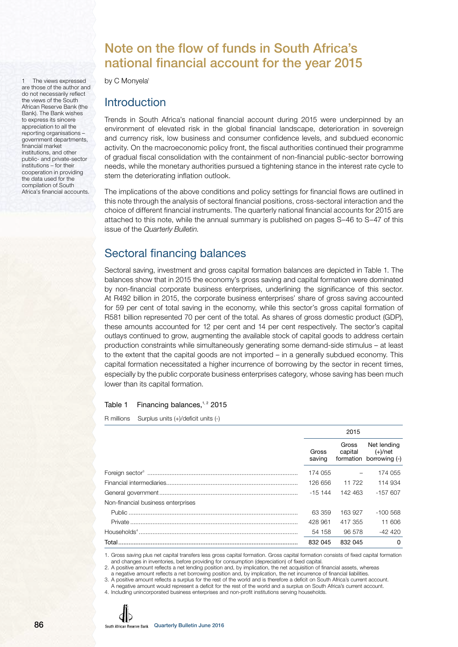# Note on the flow of funds in South Africa's national financial account for the year 2015

by C Monyela<sup>1</sup>

1 The views expressed are those of the author and do not necessarily reflect the views of the South African Reserve Bank (the Bank). The Bank wishes to express its sincere appreciation to all the reporting organisations – government departments, financial market institutions, and other public- and private-sector institutions – for their cooperation in providing the data used for the compilation of South Africa's financial accounts.

# **Introduction**

Trends in South Africa's national financial account during 2015 were underpinned by an environment of elevated risk in the global financial landscape, deterioration in sovereign and currency risk, low business and consumer confidence levels, and subdued economic activity. On the macroeconomic policy front, the fiscal authorities continued their programme of gradual fiscal consolidation with the containment of non-financial public-sector borrowing needs, while the monetary authorities pursued a tightening stance in the interest rate cycle to stem the deteriorating inflation outlook.

The implications of the above conditions and policy settings for financial flows are outlined in this note through the analysis of sectoral financial positions, cross-sectoral interaction and the choice of different financial instruments. The quarterly national financial accounts for 2015 are attached to this note, while the annual summary is published on pages S–46 to S–47 of this issue of the Quarterly Bulletin.

# Sectoral financing balances

Sectoral saving, investment and gross capital formation balances are depicted in Table 1. The balances show that in 2015 the economy's gross saving and capital formation were dominated by non-financial corporate business enterprises, underlining the significance of this sector. At R492 billion in 2015, the corporate business enterprises' share of gross saving accounted for 59 per cent of total saving in the economy, while this sector's gross capital formation of R581 billion represented 70 per cent of the total. As shares of gross domestic product (GDP), these amounts accounted for 12 per cent and 14 per cent respectively. The sector's capital outlays continued to grow, augmenting the available stock of capital goods to address certain production constraints while simultaneously generating some demand-side stimulus – at least to the extent that the capital goods are not imported – in a generally subdued economy. This capital formation necessitated a higher incurrence of borrowing by the sector in recent times, especially by the public corporate business enterprises category, whose saving has been much lower than its capital formation.

#### Table 1 Financing balances, $1, 2$  2015

R millions Surplus units (+)/deficit units (-)

|                                    |                 | 2015             |                                                   |
|------------------------------------|-----------------|------------------|---------------------------------------------------|
|                                    | Gross<br>saving | Gross<br>capital | Net lending<br>(+)/net<br>formation borrowing (-) |
|                                    | 174 055         |                  | 174 055                                           |
|                                    | 126 656         | 11 722           | 114 934                                           |
|                                    | $-15, 144$      | 142 463          | $-157607$                                         |
| Non-financial business enterprises |                 |                  |                                                   |
|                                    | 63 359          | 163 927          | -100 568                                          |
|                                    | 428 961         | 417 355          | 11 606                                            |
|                                    | 54 158          | 96 578           | -42 420                                           |
| Total                              | 832 045         | 832 045          | $\Omega$                                          |

1. Gross saving plus net capital transfers less gross capital formation. Gross capital formation consists of fixed capital formation and changes in inventories, before providing for consumption (depreciation) of fixed capital.

2. A positive amount reflects a net lending position and, by implication, the net acquisition of financial assets, whereas a negative amount reflects a net borrowing position and, by implication, the net incurrence of financial liabilities.

3. A positive amount reflects a surplus for the rest of the world and is therefore a deficit on South Africa's current account. A negative amount would represent a deficit for the rest of the world and a surplus on South Africa's current account.

4. Including unincorporated business enterprises and non-profit institutions serving households.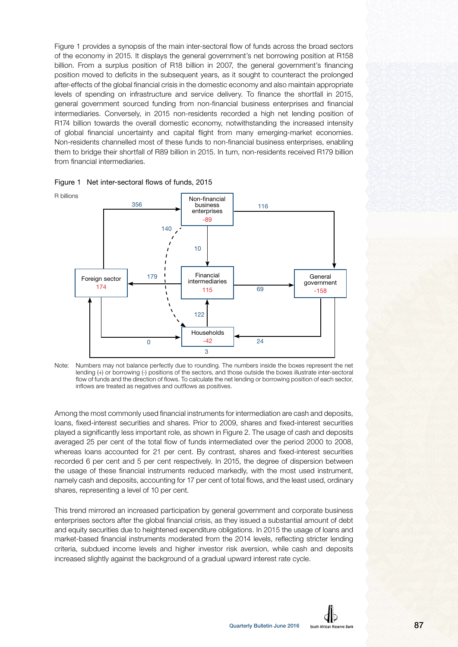Figure 1 provides a synopsis of the main inter-sectoral flow of funds across the broad sectors of the economy in 2015. It displays the general government's net borrowing position at R158 billion. From a surplus position of R18 billion in 2007, the general government's financing position moved to deficits in the subsequent years, as it sought to counteract the prolonged after-effects of the global financial crisis in the domestic economy and also maintain appropriate levels of spending on infrastructure and service delivery. To finance the shortfall in 2015, general government sourced funding from non-financial business enterprises and financial intermediaries. Conversely, in 2015 non-residents recorded a high net lending position of R174 billion towards the overall domestic economy, notwithstanding the increased intensity of global financial uncertainty and capital flight from many emerging-market economies. Non-residents channelled most of these funds to non-financial business enterprises, enabling them to bridge their shortfall of R89 billion in 2015. In turn, non-residents received R179 billion from financial intermediaries.





Note: Numbers may not balance perfectly due to rounding. The numbers inside the boxes represent the net lending (+) or borrowing (-) positions of the sectors, and those outside the boxes illustrate inter-sectoral flow of funds and the direction of flows. To calculate the net lending or borrowing position of each sector, inflows are treated as negatives and outflows as positives.

Among the most commonly used financial instruments for intermediation are cash and deposits, loans, fixed-interest securities and shares. Prior to 2009, shares and fixed-interest securities played a significantly less important role, as shown in Figure 2. The usage of cash and deposits averaged 25 per cent of the total flow of funds intermediated over the period 2000 to 2008, whereas loans accounted for 21 per cent. By contrast, shares and fixed-interest securities recorded 6 per cent and 5 per cent respectively. In 2015, the degree of dispersion between the usage of these financial instruments reduced markedly, with the most used instrument, namely cash and deposits, accounting for 17 per cent of total flows, and the least used, ordinary shares, representing a level of 10 per cent.

This trend mirrored an increased participation by general government and corporate business enterprises sectors after the global financial crisis, as they issued a substantial amount of debt and equity securities due to heightened expenditure obligations. In 2015 the usage of loans and market-based financial instruments moderated from the 2014 levels, reflecting stricter lending criteria, subdued income levels and higher investor risk aversion, while cash and deposits increased slightly against the background of a gradual upward interest rate cycle.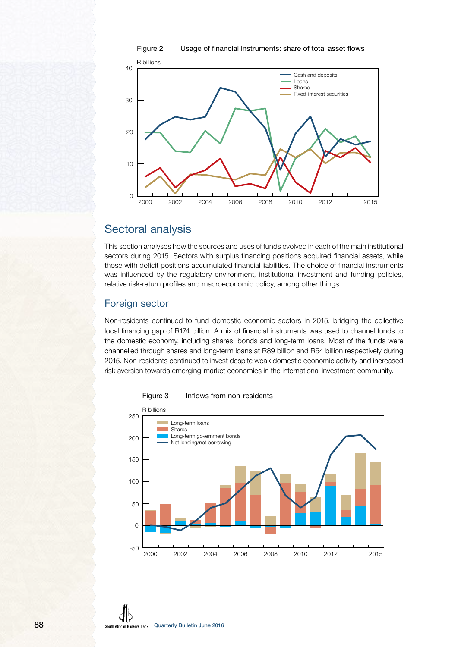



# Sectoral analysis

This section analyses how the sources and uses of funds evolved in each of the main institutional sectors during 2015. Sectors with surplus financing positions acquired financial assets, while those with deficit positions accumulated financial liabilities. The choice of financial instruments was influenced by the regulatory environment, institutional investment and funding policies, relative risk-return profiles and macroeconomic policy, among other things.

## Foreign sector

Non-residents continued to fund domestic economic sectors in 2015, bridging the collective local financing gap of R174 billion. A mix of financial instruments was used to channel funds to the domestic economy, including shares, bonds and long-term loans. Most of the funds were channelled through shares and long-term loans at R89 billion and R54 billion respectively during 2015. Non-residents continued to invest despite weak domestic economic activity and increased risk aversion towards emerging-market economies in the international investment community.



Figure 3 Inflows from non-residents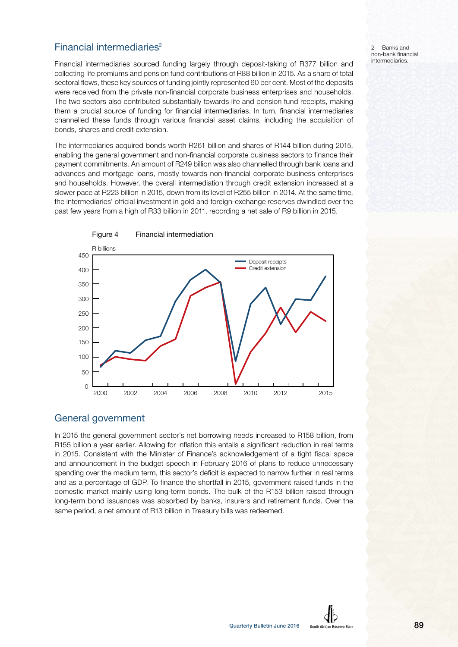# Financial intermediaries $2$

Financial intermediaries sourced funding largely through deposit-taking of R377 billion and collecting life premiums and pension fund contributions of R88 billion in 2015. As a share of total sectoral flows, these key sources of funding jointly represented 60 per cent. Most of the deposits were received from the private non-financial corporate business enterprises and households. The two sectors also contributed substantially towards life and pension fund receipts, making them a crucial source of funding for financial intermediaries. In turn, financial intermediaries channelled these funds through various financial asset claims, including the acquisition of bonds, shares and credit extension.

The intermediaries acquired bonds worth R261 billion and shares of R144 billion during 2015, enabling the general government and non-financial corporate business sectors to finance their payment commitments. An amount of R249 billion was also channelled through bank loans and advances and mortgage loans, mostly towards non-financial corporate business enterprises and households. However, the overall intermediation through credit extension increased at a slower pace at R223 billion in 2015, down from its level of R255 billion in 2014. At the same time, the intermediaries' official investment in gold and foreign-exchange reserves dwindled over the past few years from a high of R33 billion in 2011, recording a net sale of R9 billion in 2015.



## General government

In 2015 the general government sector's net borrowing needs increased to R158 billion, from R155 billion a year earlier. Allowing for inflation this entails a significant reduction in real terms in 2015. Consistent with the Minister of Finance's acknowledgement of a tight fiscal space and announcement in the budget speech in February 2016 of plans to reduce unnecessary spending over the medium term, this sector's deficit is expected to narrow further in real terms and as a percentage of GDP. To finance the shortfall in 2015, government raised funds in the domestic market mainly using long-term bonds. The bulk of the R153 billion raised through long-term bond issuances was absorbed by banks, insurers and retirement funds. Over the same period, a net amount of R13 billion in Treasury bills was redeemed.

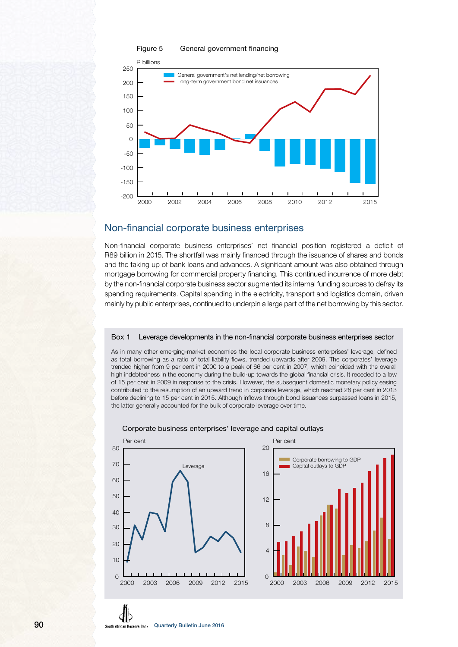

#### Figure 5 General government financing

## Non-financial corporate business enterprises

Non-financial corporate business enterprises' net financial position registered a deficit of R89 billion in 2015. The shortfall was mainly financed through the issuance of shares and bonds and the taking up of bank loans and advances. A significant amount was also obtained through mortgage borrowing for commercial property financing. This continued incurrence of more debt by the non-financial corporate business sector augmented its internal funding sources to defray its spending requirements. Capital spending in the electricity, transport and logistics domain, driven mainly by public enterprises, continued to underpin a large part of the net borrowing by this sector.

#### Box 1 Leverage developments in the non-financial corporate business enterprises sector

As in many other emerging-market economies the local corporate business enterprises' leverage, defined as total borrowing as a ratio of total liability flows, trended upwards after 2009. The corporates' leverage trended higher from 9 per cent in 2000 to a peak of 66 per cent in 2007, which coincided with the overall high indebtedness in the economy during the build-up towards the global financial crisis. It receded to a low of 15 per cent in 2009 in response to the crisis. However, the subsequent domestic monetary policy easing contributed to the resumption of an upward trend in corporate leverage, which reached 28 per cent in 2013 before declining to 15 per cent in 2015. Although inflows through bond issuances surpassed loans in 2015, the latter generally accounted for the bulk of corporate leverage over time.



#### Corporate business enterprises' leverage and capital outlays

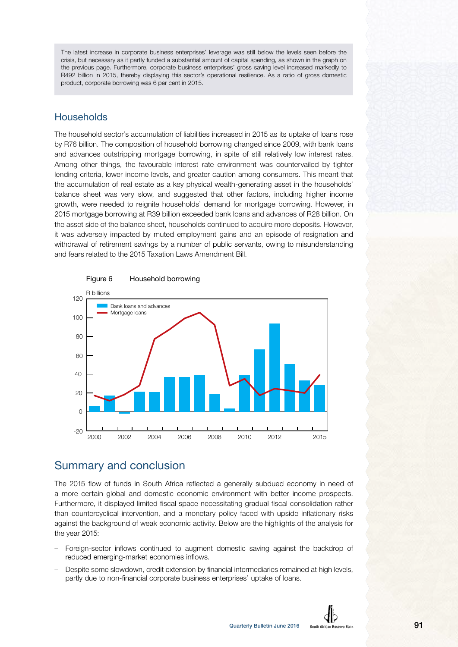The latest increase in corporate business enterprises' leverage was still below the levels seen before the crisis, but necessary as it partly funded a substantial amount of capital spending, as shown in the graph on the previous page. Furthermore, corporate business enterprises' gross saving level increased markedly to R492 billion in 2015, thereby displaying this sector's operational resilience. As a ratio of gross domestic product, corporate borrowing was 6 per cent in 2015.

# **Households**

The household sector's accumulation of liabilities increased in 2015 as its uptake of loans rose by R76 billion. The composition of household borrowing changed since 2009, with bank loans and advances outstripping mortgage borrowing, in spite of still relatively low interest rates. Among other things, the favourable interest rate environment was countervailed by tighter lending criteria, lower income levels, and greater caution among consumers. This meant that the accumulation of real estate as a key physical wealth-generating asset in the households' balance sheet was very slow, and suggested that other factors, including higher income growth, were needed to reignite households' demand for mortgage borrowing. However, in 2015 mortgage borrowing at R39 billion exceeded bank loans and advances of R28 billion. On the asset side of the balance sheet, households continued to acquire more deposits. However, it was adversely impacted by muted employment gains and an episode of resignation and withdrawal of retirement savings by a number of public servants, owing to misunderstanding and fears related to the 2015 Taxation Laws Amendment Bill.



#### Figure 6 Household borrowing

# Summary and conclusion

The 2015 flow of funds in South Africa reflected a generally subdued economy in need of a more certain global and domestic economic environment with better income prospects. Furthermore, it displayed limited fiscal space necessitating gradual fiscal consolidation rather than countercyclical intervention, and a monetary policy faced with upside inflationary risks against the background of weak economic activity. Below are the highlights of the analysis for the year 2015:

- Foreign-sector inflows continued to augment domestic saving against the backdrop of reduced emerging-market economies inflows.
- Despite some slowdown, credit extension by financial intermediaries remained at high levels, partly due to non-financial corporate business enterprises' uptake of loans.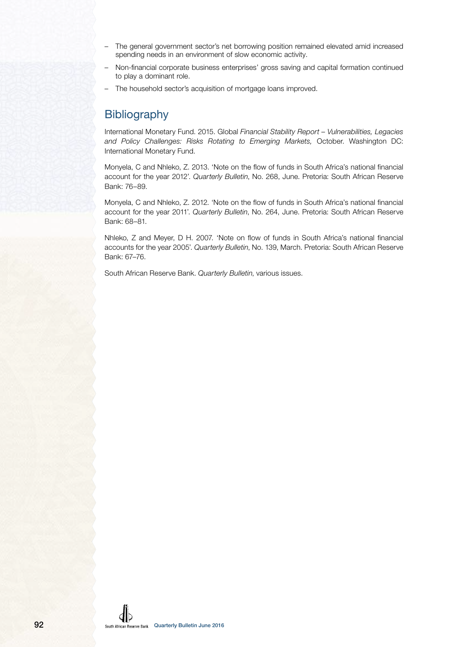- The general government sector's net borrowing position remained elevated amid increased spending needs in an environment of slow economic activity.
- Non-financial corporate business enterprises' gross saving and capital formation continued to play a dominant role.
- The household sector's acquisition of mortgage loans improved.

# **Bibliography**

International Monetary Fund. 2015. Global Financial Stability Report – Vulnerabilities, Legacies and Policy Challenges: Risks Rotating to Emerging Markets, October. Washington DC: International Monetary Fund.

Monyela, C and Nhleko, Z. 2013. 'Note on the flow of funds in South Africa's national financial account for the year 2012'. Quarterly Bulletin, No. 268, June. Pretoria: South African Reserve Bank: 76–89.

Monyela, C and Nhleko, Z. 2012. 'Note on the flow of funds in South Africa's national financial account for the year 2011'. Quarterly Bulletin, No. 264, June. Pretoria: South African Reserve Bank: 68–81.

Nhleko, Z and Meyer, D H. 2007. 'Note on flow of funds in South Africa's national financial accounts for the year 2005'. Quarterly Bulletin, No. 139, March. Pretoria: South African Reserve Bank: 67–76.

South African Reserve Bank. Quarterly Bulletin, various issues.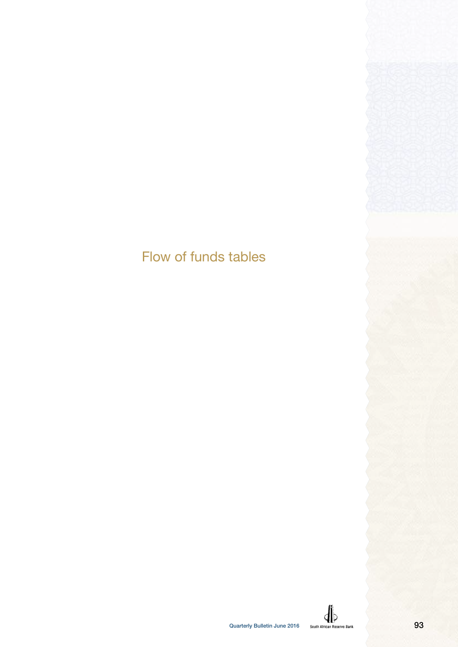# Flow of funds tables

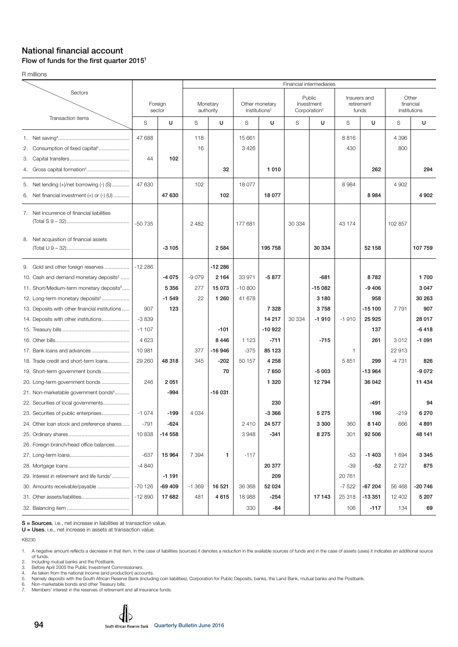#### National financial account Flow of funds for the first quarter  $2015<sup>1</sup>$

R millions

|                                                                                                                                                                                                  |                   |                               |                      |                                          |                              |                                             |        | Financial intermediaries                         |                      |                                     |                   |                           |
|--------------------------------------------------------------------------------------------------------------------------------------------------------------------------------------------------|-------------------|-------------------------------|----------------------|------------------------------------------|------------------------------|---------------------------------------------|--------|--------------------------------------------------|----------------------|-------------------------------------|-------------------|---------------------------|
| Sectors                                                                                                                                                                                          | Foreign<br>sector |                               |                      | Monetary<br>authority                    |                              | Other monetary<br>institutions <sup>2</sup> |        | Public<br>Investment<br>Corporation <sup>3</sup> |                      | Insurers and<br>retirement<br>funds | financial         | Other<br>institutions     |
| Transaction items                                                                                                                                                                                | S                 | U                             | S                    | U                                        | S                            | U                                           | S      | U                                                | S                    | U                                   | S                 | U                         |
| Consumption of fixed capital <sup>4</sup><br>2.<br>З.<br>Gross capital formation <sup>4</sup><br>4.                                                                                              | 47 688<br>44      | 102                           | 118<br>16            | 32                                       | 15 661<br>3426               | 1 0 1 0                                     |        |                                                  | 8816<br>430          | 262                                 | 4 3 9 6<br>800    | 294                       |
| 5. Net lending (+)/net borrowing (-) (S)<br>Net financial investment $(+)$ or $(-)$ $($ U $)$<br>6.                                                                                              | 47 630            | 47 630                        | 102                  | 102                                      | 18077                        | 18 077                                      |        |                                                  | 8984                 | 8984                                | 4 9 0 2           | 4 9 0 2                   |
| 7. Net incurrence of financial liabilities<br>8. Net acquisition of financial assets                                                                                                             | $-50735$          |                               | 2 4 8 2              |                                          | 177 681                      |                                             | 30 334 |                                                  | 43 174               |                                     | 102 857           |                           |
|                                                                                                                                                                                                  |                   | $-3105$                       |                      | 2 5 8 4                                  |                              | 195 758                                     |        | 30 334                                           |                      | 52 158                              |                   | 107 759                   |
| 9. Gold and other foreign reserves<br>10. Cash and demand monetary deposits <sup>5</sup><br>11. Short/Medium-term monetary deposits <sup>5</sup><br>12. Long-term monetary deposits <sup>5</sup> | $-12286$          | $-4075$<br>5 3 5 6<br>$-1549$ | $-9079$<br>277<br>22 | $-12286$<br>2 1 6 4<br>15 073<br>1 2 6 0 | 33 971<br>$-10800$<br>41 678 | $-5877$                                     |        | $-681$<br>$-15082$<br>3 1 8 0                    |                      | 8782<br>$-9406$<br>958              |                   | 1700<br>3 0 4 7<br>30 263 |
| 13. Deposits with other financial institutions                                                                                                                                                   | 907               | 123                           |                      |                                          |                              | 7 3 2 8                                     |        | 3758                                             |                      | $-15100$                            | 7 7 9 1           | 907                       |
| 14. Deposits with other institutions                                                                                                                                                             | $-3839$           |                               |                      |                                          |                              | 14 217                                      | 30 334 | $-1910$                                          | $-1910$              | 25 9 25                             |                   | 28 017                    |
|                                                                                                                                                                                                  | $-1107$           |                               |                      | $-101$                                   |                              | $-10922$                                    |        |                                                  |                      | 137                                 |                   | $-6418$                   |
|                                                                                                                                                                                                  | 4 6 2 3           |                               |                      | 8446                                     | 1 1 2 3                      | $-711$                                      |        | $-715$                                           |                      | 261                                 | 3012              | $-1091$                   |
| 17. Bank loans and advances<br>18. Trade credit and short-term loans                                                                                                                             | 10981<br>29 260   | 48 318                        | 377<br>345           | -16 946<br>$-202$                        | $-375$<br>50 157             | 85 1 23<br>4 2 5 8                          |        |                                                  | $\mathbf{1}$<br>5851 | 299                                 | 22 913<br>$-4731$ | 826                       |
| 19. Short-term government bonds                                                                                                                                                                  |                   |                               |                      | 70                                       |                              | 7650                                        |        | $-5003$                                          |                      | $-13964$                            |                   | -9 072                    |
| 20. Long-term government bonds                                                                                                                                                                   | 246               | 2 0 5 1                       |                      |                                          |                              | 1 3 2 0                                     |        | 12794                                            |                      | 36 042                              |                   | 11 434                    |
| 21. Non-marketable government bonds <sup>6</sup>                                                                                                                                                 |                   | $-994$                        |                      | $-16031$                                 |                              |                                             |        |                                                  |                      |                                     |                   |                           |
| 22. Securities of local governments                                                                                                                                                              |                   |                               |                      |                                          |                              | 230                                         |        |                                                  |                      | -491                                |                   | 94                        |
| 23. Securities of public enterprises                                                                                                                                                             | $-1074$           | $-199$                        | 4 0 3 4              |                                          |                              | $-3366$                                     |        | 5 2 7 5                                          |                      | 196                                 | $-219$            | 6 270                     |
| 24. Other loan stock and preference shares                                                                                                                                                       | $-791$            | -624                          |                      |                                          | 2410                         | 24 577                                      |        | 3 300                                            | 360                  | 8 1 4 0                             | 666               | 4 891                     |
|                                                                                                                                                                                                  | 10838             | $-14558$                      |                      |                                          | 3948                         | $-341$                                      |        | 8 2 7 5                                          | 301                  | 92 506                              |                   | 48 141                    |
| 26. Foreign branch/head office balances                                                                                                                                                          |                   |                               |                      |                                          |                              |                                             |        |                                                  |                      |                                     |                   |                           |
|                                                                                                                                                                                                  | $-637$            | 15 964                        | 7 3 9 4              | 1                                        | $-117$                       |                                             |        |                                                  | -53                  | $-1403$                             | 1 6 9 4           | 3 3 4 5                   |
|                                                                                                                                                                                                  | $-4840$           |                               |                      |                                          |                              | 20 377                                      |        |                                                  | $-39$                | -52                                 | 2 7 2 7           | 875                       |
| 29. Interest in retirement and life funds <sup>7</sup>                                                                                                                                           |                   | $-1191$                       |                      |                                          |                              | 209                                         |        |                                                  | 20761                |                                     |                   |                           |
| 30. Amounts receivable/payable                                                                                                                                                                   | $-70126$          | -69 409                       | $-1.369$             | 16 521                                   | 36 368                       | 52 024                                      |        |                                                  | $-7522$              | -67 204                             | 56 468            | $-20746$                  |
|                                                                                                                                                                                                  | $-12890$          | 17 682                        | 481                  | 4615                                     | 18988                        | -254                                        |        | 17 143                                           | 25 318               | $-13351$                            | 12 402            | 5 207                     |
|                                                                                                                                                                                                  |                   |                               |                      |                                          | 330                          | -84                                         |        |                                                  | 106                  | $-117$                              | 134               | 69                        |

S = Sources, i.e., net increase in liabilities at transaction value.

U = Uses, i.e., net increase in assets at transaction value.

KB230

2. Including mutual banks and the Postbank. 3. Before April 2005 the Public Investment Commissioners.

4. As taken from the national income (and production) accounts.<br>5. Namely deposits with the South African Reserve Bank (including coin liabilities), Corporation for Public Deposits, banks, the Land Bank, mutual banks and

6. Non-marketable bonds and other Treasury bills. 7. Members' interest in the reserves of retirement and all insurance funds.

<sup>1.</sup> A negative amount reflects a decrease in that item. In the case of liabilities (sources) it denotes a reduction in the available sources of funds and in the case of assets (uses) it indicates an additional source<br>6 fund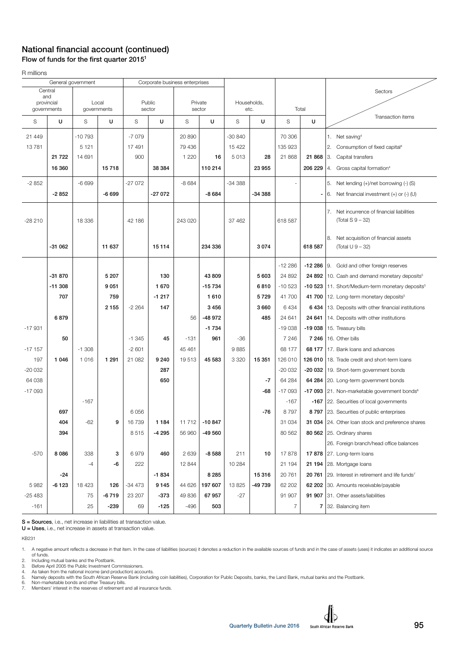## National financial account (continued) Flow of funds for the first quarter  $2015<sup>1</sup>$

R millions

|            |             | General government |                      | Corporate business enterprises |                  |         |                   |          |             |                |         |                                                                |
|------------|-------------|--------------------|----------------------|--------------------------------|------------------|---------|-------------------|----------|-------------|----------------|---------|----------------------------------------------------------------|
|            | Central     |                    |                      |                                |                  |         |                   |          |             |                |         | Sectors                                                        |
|            | and         |                    |                      |                                |                  |         |                   |          | Households, |                |         |                                                                |
| provincial | governments |                    | Local<br>governments |                                | Public<br>sector |         | Private<br>sector |          | etc.        |                | Total   |                                                                |
|            |             |                    |                      |                                |                  |         |                   |          |             |                |         | Transaction items                                              |
| S          | U           | S                  | U                    | S                              | U                | S       | U                 | S        | U           | S              | U       |                                                                |
| 21 449     |             | $-10793$           |                      | $-7079$                        |                  | 20 890  |                   | $-30840$ |             | 70 306         |         | 1. Net saving <sup>4</sup>                                     |
| 13781      |             | 5 1 2 1            |                      | 17491                          |                  | 79 436  |                   | 15 4 22  |             | 135 923        |         | 2.<br>Consumption of fixed capital <sup>4</sup>                |
|            | 21 7 22     | 14 691             |                      | 900                            |                  | 1 2 2 0 | 16                | 5013     | 28          | 21 868         | 21 868  | Capital transfers<br> 3.                                       |
|            | 16 360      |                    | 15718                |                                | 38 384           |         | 110 214           |          | 23 955      |                | 206 229 | 4. Gross capital formation <sup>4</sup>                        |
|            |             |                    |                      |                                |                  |         |                   |          |             |                |         |                                                                |
| $-2852$    |             | $-6699$            |                      | $-27072$                       |                  | $-8684$ |                   | $-34388$ |             |                |         | 5. Net lending (+)/net borrowing (-) (S)                       |
|            | $-2852$     |                    | $-6699$              |                                | $-27072$         |         | $-8684$           |          | -34 388     |                |         | Net financial investment $(+)$ or $(-)$ (U)<br>l 6.            |
|            |             |                    |                      |                                |                  |         |                   |          |             |                |         | Net incurrence of financial liabilities<br>7.                  |
| $-28210$   |             | 18 3 36            |                      | 42 186                         |                  | 243 020 |                   | 37 462   |             | 618 587        |         | $(Total S 9 - 32)$                                             |
|            |             |                    |                      |                                |                  |         |                   |          |             |                |         |                                                                |
|            |             |                    |                      |                                |                  |         |                   |          |             |                |         | Net acquisition of financial assets<br>8.                      |
|            | -31 062     |                    | 11 637               |                                | 15 114           |         | 234 336           |          | 3074        |                | 618 587 | (Total U 9 – 32)                                               |
|            |             |                    |                      |                                |                  |         |                   |          |             | $-12286$       |         | -12 286 9. Gold and other foreign reserves                     |
|            | -31 870     |                    | 5 207                |                                | 130              |         | 43 809            |          | 5603        | 24 892         |         | 24 892 10. Cash and demand monetary deposits <sup>5</sup>      |
|            | $-11308$    |                    | 9 0 51               |                                | 1670             |         | $-15734$          |          | 6810        | $-10523$       |         | -10 523   11. Short/Medium-term monetary deposits <sup>5</sup> |
|            |             |                    |                      |                                |                  |         |                   |          |             |                |         |                                                                |
|            | 707         |                    | 759                  |                                | $-1217$          |         | 1610              |          | 5729        | 41 700         |         | 41 700 12. Long-term monetary deposits <sup>5</sup>            |
|            |             |                    | 2 1 5 5              | $-2264$                        | 147              |         | 3456              |          | 3660        | 6434           | 6 434   | 13. Deposits with other financial institutions                 |
|            | 6879        |                    |                      |                                |                  | 56      | -48 972           |          | 485         | 24 641         | 24 641  | 14. Deposits with other institutions                           |
| $-17931$   |             |                    |                      |                                |                  |         | $-1734$           |          |             | $-19038$       | -19 038 | 15. Treasury bills                                             |
|            | 50          |                    |                      | $-1345$                        | 45               | $-131$  | 961               | $-36$    |             | 7 2 4 6        | 7 2 4 6 | 16. Other bills                                                |
| $-17157$   |             | $-1.308$           |                      | $-2601$                        |                  | 45 4 61 |                   | 9885     |             | 68 177         | 68 177  | 17. Bank loans and advances                                    |
| 197        | 1 0 4 6     | 1016               | 1 2 9 1              | 21 082                         | 9 2 4 0          | 19513   | 45 583            | 3 3 2 0  | 15 351      | 126 010        |         | 126 010   18. Trade credit and short-term loans                |
| $-20032$   |             |                    |                      |                                | 287              |         |                   |          |             | $-20032$       |         | -20 032   19. Short-term government bonds                      |
| 64 038     |             |                    |                      |                                | 650              |         |                   |          | $-7$        | 64 284         |         | 64 284 20. Long-term government bonds                          |
| $-17093$   |             |                    |                      |                                |                  |         |                   |          | -68         | $-17093$       |         | -17 093 $ 21$ . Non-marketable government bonds $6$            |
|            |             | $-167$             |                      |                                |                  |         |                   |          |             | $-167$         |         | -167 22. Securities of local governments                       |
|            | 697         |                    |                      | 6056                           |                  |         |                   |          | -76         | 8797           |         | 8797 23. Securities of public enterprises                      |
|            | 404         | -62                | 9                    | 16739                          | 1 1 8 4          | 11712   | -10 847           |          |             | 31 034         |         | 31 034 24. Other loan stock and preference shares              |
|            | 394         |                    |                      | 8515                           | $-4295$          | 56 960  | -49 560           |          |             | 80 562         |         | 80 562 25. Ordinary shares                                     |
|            |             |                    |                      |                                |                  |         |                   |          |             |                |         | 26. Foreign branch/head office balances                        |
| $-570$     | 8086        | 338                | 3                    | 6979                           | 460              | 2639    | $-8,588$          | 211      | 10          | 17878          |         | 17 878 27. Long-term loans                                     |
|            |             | $-4$               | -6                   | 222                            |                  | 12 844  |                   | 10 284   |             | 21 194         |         | 21 194 28. Mortgage loans                                      |
|            | -24         |                    |                      |                                | $-1834$          |         | 8 2 8 5           |          | 15316       | 20 761         |         | 20 761 29. Interest in retirement and life funds <sup>7</sup>  |
| 5982       | $-6123$     | 18 4 23            | 126                  | $-34473$                       | 9 1 4 5          | 44 626  | 197 607           | 13825    | -49 739     | 62 202         |         | 62 202 30. Amounts receivable/payable                          |
| $-25483$   |             | 75                 | $-6719$              | 23 207                         | -373             | 49 836  | 67 957            | $-27$    |             | 91 907         |         | 91 907 31. Other assets/liabilities                            |
| $-161$     |             | 25                 | -239                 | 69                             | $-125$           | $-496$  | 503               |          |             | $\overline{7}$ |         | 7 32. Balancing item                                           |

S = Sources, i.e., net increase in liabilities at transaction value.

U = Uses, i.e., net increase in assets at transaction value.

KB231

2. Including mutual banks and the Postbank.

3. Before April 2005 the Public Investment Commissioners. 4. As taken from the national income (and production) accounts.

5. Namely deposits with the South African Reserve Bank (including coin liabilities), Corporation for Public Deposits, banks, the Land Bank, mutual banks and the Postbank. 6. Non-marketable bonds and other Treasury bills.

7. Members' interest in the reserves of retirement and all insurance funds.

<sup>1.</sup> A negative amount reflects a decrease in that item. In the case of liabilities (sources) it denotes a reduction in the available sources of funds and in the case of assets (uses) it indicates an additional source<br>of fun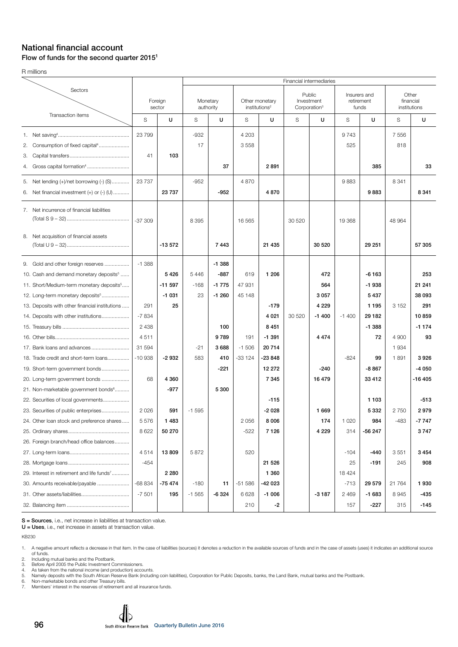#### National financial account Flow of funds for the second quarter 20151

R millions

|                                                                                                                                                                                                  |                                 |                             |                         |                                          |                         |                                             |        | Financial intermediaries                         |                                     |                                     |                                    |                               |
|--------------------------------------------------------------------------------------------------------------------------------------------------------------------------------------------------|---------------------------------|-----------------------------|-------------------------|------------------------------------------|-------------------------|---------------------------------------------|--------|--------------------------------------------------|-------------------------------------|-------------------------------------|------------------------------------|-------------------------------|
| Sectors                                                                                                                                                                                          | Foreign<br>sector               |                             | Monetary<br>authority   |                                          |                         | Other monetary<br>institutions <sup>2</sup> |        | Public<br>Investment<br>Corporation <sup>3</sup> | Insurers and<br>retirement<br>funds |                                     | Other<br>financial<br>institutions |                               |
| Transaction items                                                                                                                                                                                | S                               | U                           | S                       | U                                        | S                       | U                                           | S      | U                                                | S                                   | U                                   | S                                  | U                             |
| Consumption of fixed capital <sup>4</sup><br>2.<br>З.                                                                                                                                            | 23799<br>41                     | 103                         | $-932$<br>17            |                                          | 4 2 0 3<br>3558         |                                             |        |                                                  | 9743<br>525                         |                                     | 7 5 5 6<br>818                     |                               |
| Gross capital formation <sup>4</sup><br>4.                                                                                                                                                       |                                 |                             |                         | 37                                       |                         | 2891                                        |        |                                                  |                                     | 385                                 |                                    | 33                            |
| 5. Net lending (+)/net borrowing (-) (S)<br>Net financial investment $(+)$ or $(-)$ $($ U $)$<br>6.                                                                                              | 23737                           | 23 7 3 7                    | $-952$                  | $-952$                                   | 4 8 7 0                 | 4870                                        |        |                                                  | 9883                                | 9883                                | 8 3 4 1                            | 8 3 4 1                       |
| 7. Net incurrence of financial liabilities                                                                                                                                                       | -37 309                         |                             | 8 3 9 5                 |                                          | 16 5 65                 |                                             | 30 520 |                                                  | 19 368                              |                                     | 48 964                             |                               |
| 8. Net acquisition of financial assets                                                                                                                                                           |                                 | $-13572$                    |                         | 7443                                     |                         | 21 4 35                                     |        | 30 520                                           |                                     | 29 251                              |                                    | 57 305                        |
| 9. Gold and other foreign reserves<br>10. Cash and demand monetary deposits <sup>5</sup><br>11. Short/Medium-term monetary deposits <sup>5</sup><br>12. Long-term monetary deposits <sup>5</sup> | $-1.388$                        | 5426<br>$-11597$<br>$-1031$ | 5 4 4 6<br>$-168$<br>23 | $-1.388$<br>$-887$<br>$-1775$<br>$-1260$ | 619<br>47 931<br>45 148 | 1 206                                       |        | 472<br>564<br>3 0 5 7                            |                                     | $-6163$<br>$-1938$<br>5437          |                                    | 253<br>21 241<br>38 093       |
| 13. Deposits with other financial institutions<br>14. Deposits with other institutions                                                                                                           | 291<br>-7834<br>2 4 3 8<br>4511 | 25                          |                         | 100<br>9789                              | 191                     | $-179$<br>4 0 21<br>8 4 5 1<br>$-1391$      | 30 520 | 4 2 2 9<br>$-1400$<br>4 4 7 4                    | $-1400$                             | 1 1 9 5<br>29 182<br>$-1.388$<br>72 | 3 1 5 2<br>4 900                   | 291<br>10859<br>$-1174$<br>93 |
| 17. Bank loans and advances<br>18. Trade credit and short-term loans<br>19. Short-term government bonds                                                                                          | 31 594<br>$-10938$              | $-2932$                     | $-21$<br>583            | 3688<br>410<br>-221                      | $-1506$<br>$-33124$     | 20714<br>-23848<br>12 27 2                  |        | $-240$                                           | $-824$                              | 99<br>$-8867$                       | 1 9 3 4<br>1891                    | 3926<br>-4 050                |
| 20. Long-term government bonds<br>21. Non-marketable government bonds <sup>6</sup><br>22. Securities of local governments                                                                        | 68                              | 4 3 6 0<br>$-977$           |                         | 5 3 0 0                                  |                         | 7 3 4 5<br>$-115$                           |        | 16 479                                           |                                     | 33 41 2<br>1 1 0 3                  |                                    | -16 405<br>$-513$             |
| 23. Securities of public enterprises<br>24. Other loan stock and preference shares<br>26. Foreign branch/head office balances                                                                    | 2026<br>5576<br>8622            | 591<br>1483<br>50 270       | $-1595$                 |                                          | 2 056<br>$-522$         | $-2028$<br>8 0 0 6<br>7126                  |        | 1 6 6 9<br>174<br>4 2 2 9                        | 1 0 2 0<br>314                      | 5332<br>984<br>$-56247$             | 2750<br>-483                       | 2979<br>-7 747<br>3747        |
| 29. Interest in retirement and life funds <sup>7</sup>                                                                                                                                           | 4514<br>$-454$                  | 13809<br>2 2 8 0            | 5872                    |                                          | 520                     | 21 5 26<br>1 3 6 0                          |        |                                                  | $-104$<br>25<br>18424               | $-440$<br>$-191$                    | 3551<br>245                        | 3454<br>908                   |
| 30. Amounts receivable/payable                                                                                                                                                                   | $-68834$<br>$-7501$             | -75 474<br>195              | $-180$<br>$-1565$       | 11<br>$-6324$                            | $-51586$<br>6628<br>210 | -42 023<br>$-1006$<br>-2                    |        | $-3187$                                          | $-713$<br>2 4 6 9<br>157            | 29 579<br>$-1683$<br>$-227$         | 21764<br>8945<br>315               | 1930<br>-435<br>$-145$        |

S = Sources, i.e., net increase in liabilities at transaction value.

U = Uses, i.e., net increase in assets at transaction value.

KB230

3. Before April 2005 the Public Investment Commissioners.

4. As taken from the national income (and production) accounts.<br>5. Namely deposits with the South African Reserve Bank (including coin liabilities), Corporation for Public Deposits, banks, the Land Bank, mutual banks and

6. Non-marketable bonds and other Treasury bills. 7. Members' interest in the reserves of retirement and all insurance funds.

<sup>1.</sup> A negative amount reflects a decrease in that item. In the case of liabilities (sources) it denotes a reduction in the available sources of funds and in the case of assets (uses) it indicates an additional source of funds. 2. Including mutual banks and the Postbank.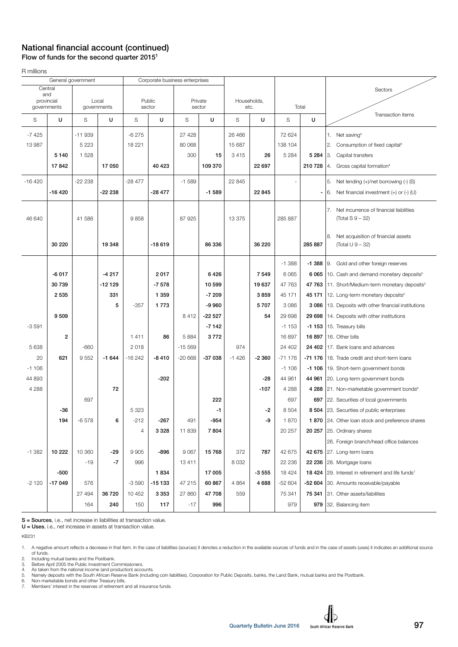#### National financial account (continued) Flow of funds for the second quarter 20151

R millions

|          | General government |          |             |          | Corporate business enterprises |          |          |             |         |          |         |                                                               |
|----------|--------------------|----------|-------------|----------|--------------------------------|----------|----------|-------------|---------|----------|---------|---------------------------------------------------------------|
|          | Central            |          |             |          |                                |          |          |             |         |          | Sectors |                                                               |
|          | and<br>provincial  |          | Local       |          | Public                         |          | Private  | Households, |         |          |         |                                                               |
|          | governments        |          | governments |          | sector                         | sector   |          |             | etc.    |          | Total   |                                                               |
| S        | U                  | S        | U           | S        | U                              | S        | U        | S           | U       | S        | U       | Transaction items                                             |
| $-7425$  |                    | $-11939$ |             | $-6275$  |                                | 27 4 28  |          | 26 4 66     |         | 72 624   |         | 1. Net saving <sup>4</sup>                                    |
| 13 987   |                    | 5 2 2 3  |             | 18 2 21  |                                | 80 068   |          | 15 687      |         | 138 104  |         | 2.<br>Consumption of fixed capital <sup>4</sup>               |
|          | 5 1 4 0            | 1528     |             |          |                                | 300      | 15       | 3415        | 26      | 5 2 8 4  | 5 2 8 4 | IЗ.<br>Capital transfers                                      |
|          |                    |          |             |          |                                |          |          |             |         |          |         |                                                               |
|          | 17842              |          | 17 050      |          | 40 4 23                        |          | 109 370  |             | 22 697  |          | 210 728 | Gross capital formation <sup>4</sup><br>4.                    |
| $-16420$ |                    | $-22238$ |             | $-28477$ |                                | $-1589$  |          | 22 845      |         |          |         | 5. Net lending (+)/net borrowing (-) (S)                      |
|          | $-16420$           |          | -22 238     |          | $-28477$                       |          | $-1589$  |             | 22 845  |          |         | Net financial investment $(+)$ or $(-)$ (U)<br>6.             |
|          |                    |          |             |          |                                |          |          |             |         |          |         |                                                               |
|          |                    |          |             |          |                                |          |          |             |         |          |         | 7.<br>Net incurrence of financial liabilities                 |
| 46 640   |                    | 41 586   |             | 9858     |                                | 87 925   |          | 13 375      |         | 285 887  |         | (Total S 9 – 32)                                              |
|          |                    |          |             |          |                                |          |          |             |         |          |         | 8.<br>Net acquisition of financial assets                     |
|          | 30 220             |          | 19 348      |          | $-18619$                       |          | 86 336   |             | 36 220  |          | 285 887 | (Total U 9 - 32)                                              |
|          |                    |          |             |          |                                |          |          |             |         |          |         |                                                               |
|          |                    |          |             |          |                                |          |          |             |         | $-1.388$ |         | -1 388 9. Gold and other foreign reserves                     |
|          | $-6017$            |          | $-4217$     |          | 2017                           |          | 6426     |             | 7549    | 6 0 6 5  |         | 6 065   10. Cash and demand monetary deposits <sup>5</sup>    |
|          | 30 739             |          | -12 129     |          | $-7578$                        |          | 10 599   |             | 19637   | 47 763   |         | 47 763 11. Short/Medium-term monetary deposits <sup>5</sup>   |
|          | 2535               |          | 331         |          | 1 3 5 9                        |          | $-7209$  |             | 3859    | 45 171   | 45 171  | 12. Long-term monetary deposits <sup>5</sup>                  |
|          |                    |          | 5           | $-357$   | 1773                           |          | $-9960$  |             | 5707    | 3 0 8 6  |         | 3 086   13. Deposits with other financial institutions        |
|          | 9509               |          |             |          |                                | 8412     | $-22527$ |             | 54      | 29 698   | 29 698  | 14. Deposits with other institutions                          |
| $-3591$  |                    |          |             |          |                                |          | $-7142$  |             |         | $-1153$  | $-1153$ | 15. Treasury bills                                            |
|          | $\overline{2}$     |          |             | 1411     | 86                             | 5884     | 3772     |             |         | 16 897   | 16897   | 16. Other bills                                               |
| 5 6 38   |                    | $-660$   |             | 2018     |                                | $-15569$ |          | 974         |         | 24 402   | 24 402  | 17. Bank loans and advances                                   |
| 20       | 621                | 9552     | $-1644$     | $-16242$ | $-8410$                        | $-20668$ | $-37038$ | $-1426$     | $-2360$ | $-71176$ | -71 176 | 18. Trade credit and short-term loans                         |
| $-1106$  |                    |          |             |          |                                |          |          |             |         | $-1106$  |         | -1 106   19. Short-term government bonds                      |
| 44 893   |                    |          |             |          | $-202$                         |          |          |             | -28     | 44 961   | 44 961  | 20. Long-term government bonds                                |
| 4 2 8 8  |                    |          | 72          |          |                                |          |          |             | $-107$  | 4 2 8 8  |         | 4 288 21. Non-marketable government bonds <sup>6</sup>        |
|          |                    | 697      |             |          |                                |          | 222      |             |         | 697      | 697     | 22. Securities of local governments                           |
|          | $-36$              |          |             | 5 3 2 3  |                                |          | $-1$     |             | -2      | 8 5 0 4  |         | 8 504 23. Securities of public enterprises                    |
|          | 194                | $-6578$  | 6           | -212     | -267                           | 491      | -954     |             | -9      | 1870     |         | 1 870 24. Other loan stock and preference shares              |
|          |                    |          |             | 4        | 3 3 2 8                        | 11839    | 7804     |             |         | 20 257   |         | <b>20 257</b> 25. Ordinary shares                             |
|          |                    |          |             |          |                                |          |          |             |         |          |         | 26. Foreign branch/head office balances                       |
| $-1.382$ | 10 222             | 10 360   | -29         | 9905     | $-896$                         | 9067     | 15768    | 372         | 787     | 42 675   |         | 42 675 27. Long-term loans                                    |
|          |                    | $-19$    | $-7$        | 996      |                                | 13411    |          | 8 0 3 2     |         | 22 236   |         | 22 236 28. Mortgage loans                                     |
|          | -500               |          |             |          | 1834                           |          |          |             | $-3555$ | 18 4 24  |         |                                                               |
|          |                    |          |             |          |                                |          | 17 005   |             |         |          |         | 18 424 29. Interest in retirement and life funds <sup>7</sup> |
| $-2120$  | $-17049$           | 576      |             | $-3590$  | $-15133$                       | 47 215   | 60 867   | 4 8 6 4     | 4688    | $-52604$ |         | -52 604 30. Amounts receivable/payable                        |
|          |                    | 27 494   | 36 720      | 10 452   | 3 3 5 3                        | 27 860   | 47 708   | 559         |         | 75 341   | 75 341  | 31. Other assets/liabilities                                  |
|          |                    | 164      | 240         | 150      | 117                            | $-17$    | 996      |             |         | 979      |         | 979 32. Balancing item                                        |

S = Sources, i.e., net increase in liabilities at transaction value.

U = Uses, i.e., net increase in assets at transaction value.

KB231

2. Including mutual banks and the Postbank. 3. Before April 2005 the Public Investment Commissioners. 4. As taken from the national income (and production) accounts.

5. Namely deposits with the South African Reserve Bank (including coin liabilities), Corporation for Public Deposits, banks, the Land Bank, mutual banks and the Postbank. 6. Non-marketable bonds and other Treasury bills. 7. Mexicut inter interest interest in the outlier and production) accounts.<br>5. Namely deposits with the South African Reserve Bank (including coin lis<br>6. Non-marketable bonds and other Treasury bills.<br>7. Members' interest

<sup>1.</sup> A negative amount reflects a decrease in that item. In the case of liabilities (sources) it denotes a reduction in the available sources of funds and in the case of assets (uses) it indicates an additional source<br>of fun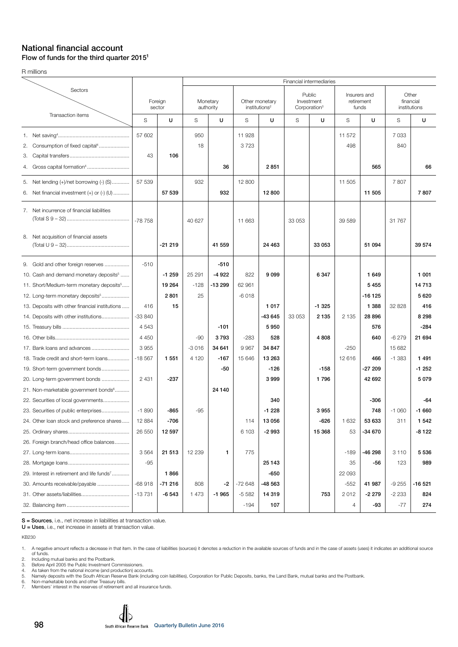#### National financial account Flow of funds for the third quarter 20151

R millions

|                                                                                                                                                                                                  |                             |                           |                             |                              |                          |                                             | Financial intermediaries                         |                         |                                  |                                     |                               |                                    |
|--------------------------------------------------------------------------------------------------------------------------------------------------------------------------------------------------|-----------------------------|---------------------------|-----------------------------|------------------------------|--------------------------|---------------------------------------------|--------------------------------------------------|-------------------------|----------------------------------|-------------------------------------|-------------------------------|------------------------------------|
| Sectors                                                                                                                                                                                          | Foreign<br>sector           |                           |                             | Monetary<br>authority        |                          | Other monetary<br>institutions <sup>2</sup> | Public<br>Investment<br>Corporation <sup>3</sup> |                         |                                  | Insurers and<br>retirement<br>funds |                               | Other<br>financial<br>institutions |
| Transaction items                                                                                                                                                                                | S                           | U                         | S                           | U                            | S                        | U                                           | S                                                | U                       | S                                | U                                   | S                             | U                                  |
| 2. Consumption of fixed capital <sup>4</sup><br>З.                                                                                                                                               | 57 602<br>43                | 106                       | 950<br>18                   |                              | 11928<br>3723            |                                             |                                                  |                         | 11 572<br>498                    |                                     | 7 0 3 3<br>840                |                                    |
| Gross capital formation <sup>4</sup><br>4.                                                                                                                                                       |                             |                           |                             | 36                           |                          | 2851                                        |                                                  |                         |                                  | 565                                 |                               | 66                                 |
| 5. Net lending (+)/net borrowing (-) (S)<br>Net financial investment $(+)$ or $(-)$ $($ U $)$<br>6.                                                                                              | 57 539                      | 57 539                    | 932                         | 932                          | 12 800                   | 12 800                                      |                                                  |                         | 11 505                           | 11 505                              | 7807                          | 7807                               |
| 7. Net incurrence of financial liabilities                                                                                                                                                       | -78 758                     |                           | 40 627                      |                              | 11 663                   |                                             | 33 053                                           |                         | 39 589                           |                                     | 31 767                        |                                    |
| 8. Net acquisition of financial assets                                                                                                                                                           |                             | $-21219$                  |                             | 41 559                       |                          | 24 4 63                                     |                                                  | 33 053                  |                                  | 51 094                              |                               | 39 574                             |
| 9. Gold and other foreign reserves<br>10. Cash and demand monetary deposits <sup>5</sup><br>11. Short/Medium-term monetary deposits <sup>5</sup><br>12. Long-term monetary deposits <sup>5</sup> | $-510$                      | $-1259$<br>19 264<br>2801 | 25 291<br>$-128$<br>25      | $-510$<br>$-4922$<br>-13 299 | 822<br>62 961<br>$-6018$ | 9099                                        |                                                  | 6 3 4 7                 |                                  | 1649<br>5455<br>$-16125$            |                               | 1 001<br>14713<br>5620             |
| 13. Deposits with other financial institutions<br>14. Deposits with other institutions                                                                                                           | 416<br>$-33840$<br>4543     | 15                        |                             | $-101$                       |                          | 1017<br>-43 645<br>5950                     | 33 053                                           | $-1325$<br>2 1 3 5      | 2 1 3 5                          | 1 3 8 8<br>28 8 96<br>576           | 32 828                        | 416<br>8 2 9 8<br>$-284$           |
| 17. Bank loans and advances<br>18. Trade credit and short-term loans                                                                                                                             | 4 4 5 0<br>3955<br>$-18567$ | 1 5 5 1                   | $-90$<br>$-3016$<br>4 1 2 0 | 3793<br>34 641<br>$-167$     | $-283$<br>9967<br>15 646 | 528<br>34 847<br>13 263                     |                                                  | 4 8 0 8                 | $-250$<br>12 616                 | 640<br>466                          | $-6279$<br>15 682<br>$-1.383$ | 21 694<br>1491                     |
| 19. Short-term government bonds<br>20. Long-term government bonds<br>21. Non-marketable government bonds <sup>6</sup><br>22. Securities of local governments                                     | 2 4 3 1                     | $-237$                    |                             | -50<br>24 140                |                          | $-126$<br>3999<br>340                       |                                                  | $-158$<br>1796          |                                  | $-27209$<br>42 692<br>-306          |                               | $-1252$<br>5 0 7 9<br>-64          |
| 23. Securities of public enterprises<br>24. Other loan stock and preference shares                                                                                                               | $-1890$<br>12 884<br>26 550 | -865<br>-706<br>12 597    | $-95$                       |                              | 114<br>6 1 0 3           | $-1228$<br>13 056<br>$-2993$                |                                                  | 3955<br>-626<br>15 3 68 | 1 632<br>53                      | 748<br>53 633<br>-34 670            | $-1060$<br>311                | $-1660$<br>1 542<br>$-8122$        |
| 26. Foreign branch/head office balances<br>29. Interest in retirement and life funds <sup>7</sup><br>30. Amounts receivable/payable                                                              | 3564<br>$-95$<br>$-68918$   | 21 513<br>1866<br>-71 216 | 12 239<br>808               | 1<br>$-2$                    | 775<br>$-72648$          | 25 143<br>$-650$<br>-48 563                 |                                                  |                         | $-189$<br>35<br>22 093<br>$-552$ | $-46298$<br>$-56$<br>41 987         | 3 1 1 0<br>123<br>$-9255$     | 5536<br>989<br>-16 521             |
|                                                                                                                                                                                                  | $-13731$                    | $-6543$                   | 1 473                       | $-1965$                      | $-5582$<br>$-194$        | 14 319<br>107                               |                                                  | 753                     | 2012<br>4                        | $-2279$<br>-93                      | $-2233$<br>$-77$              | 824<br>274                         |

S = Sources, i.e., net increase in liabilities at transaction value.

U = Uses, i.e., net increase in assets at transaction value.

KB230

1. A negative amount reflects a decrease in that item. In the case of liabilities (sources) it denotes a reduction in the available sources of funds and in the case of assets (uses) it indicates an additional source<br>of fun

 $\mathbf{d}$ b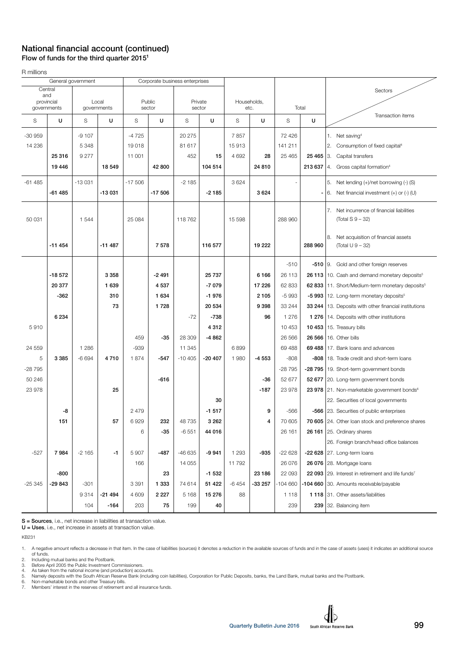## National financial account (continued) Flow of funds for the third quarter 20151

R millions

|            | General government |          |                      | Corporate business enterprises |                  |          |                   |         |                     |           |            |                                                               |
|------------|--------------------|----------|----------------------|--------------------------------|------------------|----------|-------------------|---------|---------------------|-----------|------------|---------------------------------------------------------------|
|            | Central            |          |                      |                                |                  |          |                   |         |                     |           |            | Sectors                                                       |
| and        |                    |          |                      |                                |                  |          |                   |         |                     |           |            |                                                               |
| provincial | governments        |          | Local<br>governments |                                | Public<br>sector |          | Private<br>sector |         | Households,<br>etc. |           | Total      |                                                               |
| S          | U                  | S        | U                    | S                              | U                | S        | U                 | S       | U                   | S         | U          | Transaction items                                             |
|            |                    |          |                      |                                |                  |          |                   |         |                     |           |            |                                                               |
| $-30959$   |                    | $-9107$  |                      | -4725                          |                  | 20 275   |                   | 7857    |                     | 72 4 26   |            | 1. Net saving <sup>4</sup>                                    |
| 14 2 36    |                    | 5 3 4 8  |                      | 19018                          |                  | 81 617   |                   | 15913   |                     | 141 211   |            | 2.<br>Consumption of fixed capital <sup>4</sup>               |
|            | 25 316             | 9 2 7 7  |                      | 11 001                         |                  | 452      | 15                | 4 6 9 2 | 28                  | 25 4 65   | 25 4 65 3. | Capital transfers                                             |
|            | 19 4 46            |          | 18 549               |                                | 42 800           |          | 104 514           |         | 24 810              |           | 213 637    | 4. Gross capital formation <sup>4</sup>                       |
| $-61485$   |                    | $-13031$ |                      | $-17506$                       |                  | $-2185$  |                   | 3624    |                     |           |            | 5. Net lending (+)/net borrowing (-) (S)                      |
|            | $-61485$           |          | -13 031              |                                | $-17506$         |          | $-2185$           |         | 3624                |           |            | Net financial investment $(+)$ or $(-)$ (U)<br>6.             |
|            |                    |          |                      |                                |                  |          |                   |         |                     |           |            |                                                               |
|            |                    |          |                      |                                |                  |          |                   |         |                     |           |            | 7. Net incurrence of financial liabilities                    |
| 50 031     |                    | 1 5 4 4  |                      | 25 084                         |                  | 118 762  |                   | 15 5 98 |                     | 288 960   |            | (Total S 9 - 32)                                              |
|            |                    |          |                      |                                |                  |          |                   |         |                     |           |            |                                                               |
|            | $-11454$           |          | $-11487$             |                                | 7578             |          | 116 577           |         | 19 222              |           | 288 960    | 8.<br>Net acquisition of financial assets                     |
|            |                    |          |                      |                                |                  |          |                   |         |                     |           |            | (Total U 9 - 32)                                              |
|            |                    |          |                      |                                |                  |          |                   |         |                     | $-510$    |            | -510   9. Gold and other foreign reserves                     |
|            | $-18572$           |          | 3 3 5 8              |                                | $-2491$          |          | 25 737            |         | 6 1 6 6             | 26 113    |            | 26 113   10. Cash and demand monetary deposits <sup>5</sup>   |
|            | 20 377             |          | 1 639                |                                | 4537             |          | $-7079$           |         | 17 226              | 62 833    |            | 62 833   11. Short/Medium-term monetary deposits <sup>5</sup> |
|            | $-362$             |          | 310                  |                                | 1 6 3 4          |          | $-1976$           |         | 2 1 0 5             | $-5993$   |            | -5 993   12. Long-term monetary deposits <sup>5</sup>         |
|            |                    |          | 73                   |                                | 1728             |          | 20 534            |         | 9 3 9 8             | 33 244    |            | 33 244   13. Deposits with other financial institutions       |
|            | 6 2 3 4            |          |                      |                                |                  | $-72$    | $-738$            |         | 96                  | 1 2 7 6   |            | 1 276   14. Deposits with other institutions                  |
| 5910       |                    |          |                      |                                |                  |          | 4 3 1 2           |         |                     | 10 453    |            | <b>10 453</b>   15. Treasury bills                            |
|            |                    |          |                      | 459                            | $-35$            | 28 309   | -4862             |         |                     | 26 5 66   |            | 26 566   16. Other bills                                      |
| 24 559     |                    | 1 2 8 6  |                      | $-939$                         |                  | 11 345   |                   | 6899    |                     | 69 488    |            | 69 488   17. Bank loans and advances                          |
| 5          | 3 3 8 5            | $-6694$  | 4710                 | 1874                           | $-547$           | $-10405$ | $-20407$          | 1980    | $-4553$             | $-808$    |            | -808   18. Trade credit and short-term loans                  |
| $-28795$   |                    |          |                      |                                |                  |          |                   |         |                     | $-28795$  |            | -28 795   19. Short-term government bonds                     |
| 50 246     |                    |          |                      |                                | $-616$           |          |                   |         | -36                 | 52 677    |            | 52 677 20. Long-term government bonds                         |
| 23978      |                    |          | 25                   |                                |                  |          |                   |         | $-187$              | 23 978    |            | 23 978 21. Non-marketable government bonds <sup>6</sup>       |
|            |                    |          |                      |                                |                  |          | 30                |         |                     |           |            | 22. Securities of local governments                           |
|            | -8                 |          |                      | 2 4 7 9                        |                  |          | $-1517$           |         | 9                   | $-566$    |            | -566 23. Securities of public enterprises                     |
|            | 151                |          | 57                   | 6929                           | 232              | 48 735   | 3 2 6 2           |         | 4                   | 70 605    |            | 70 605 24. Other loan stock and preference shares             |
|            |                    |          |                      | 6                              | $-35$            | $-6551$  | 44 016            |         |                     | 26 161    |            | 26 161 25. Ordinary shares                                    |
|            |                    |          |                      |                                |                  |          |                   |         |                     |           |            | 26. Foreign branch/head office balances                       |
| $-527$     | 7984               | $-2165$  | $-1$                 | 5 9 0 7                        | $-487$           | -46 635  | $-9941$           | 1 2 9 3 | -935                | $-22628$  |            | -22 628 $ 27.$ Long-term loans                                |
|            |                    |          |                      | 166                            |                  | 14 0 55  |                   | 11792   |                     | 26 076    |            | 26 076   28. Mortgage loans                                   |
|            | -800               |          |                      |                                | 23               |          | $-1532$           |         | 23 186              | 22 093    |            | 22 093 29. Interest in retirement and life funds <sup>7</sup> |
| $-25345$   | -29 843            | $-301$   |                      | 3 3 9 1                        | 1 3 3 3          | 74 614   | 51 422            | $-6454$ | $-33257$            | $-104660$ |            | -104 660 30. Amounts receivable/payable                       |
|            |                    | 9314     | -21 494              | 4 609                          | 2 2 2 7          | 5 1 6 8  | 15 276            | 88      |                     | 1 1 1 8   |            | 1 118 31. Other assets/liabilities                            |
|            |                    | 104      | $-164$               | 203                            | 75               | 199      | 40                |         |                     | 239       |            | 239 32. Balancing item                                        |
|            |                    |          |                      |                                |                  |          |                   |         |                     |           |            |                                                               |

S = Sources, i.e., net increase in liabilities at transaction value.

U = Uses, i.e., net increase in assets at transaction value.

KB231

4. As taken from the national income (and production) accounts.<br>5. Namely deposits with the South African Reserve Bank (including coin liabilities), Corporation for Public Deposits, banks, the Land Bank, mutual banks and t

6. Non-marketable bonds and other Treasury bills. 7. Members' interest in the reserves of retirement and all insurance funds.

<sup>1.</sup> A negative amount reflects a decrease in that item. In the case of liabilities (sources) it denotes a reduction in the available sources of funds and in the case of assets (uses) it indicates an additional source<br>2. Inc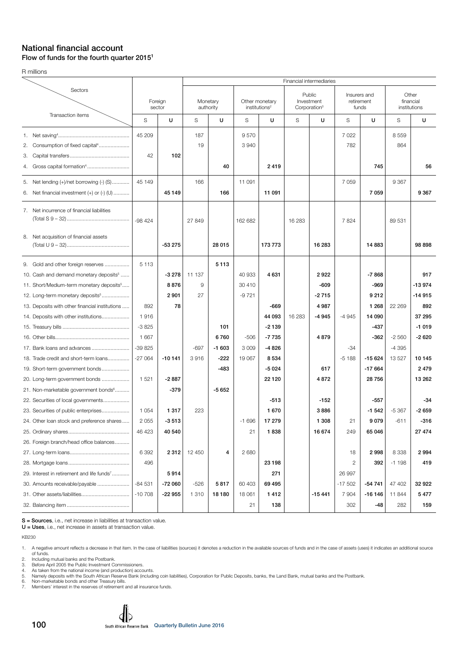#### National financial account Flow of funds for the fourth quarter 20151

R millions

|                                                                                                     |                   |          |           |                       |              |                                             |                                                  | Financial intermediaries |                |                                     |                                    |          |
|-----------------------------------------------------------------------------------------------------|-------------------|----------|-----------|-----------------------|--------------|---------------------------------------------|--------------------------------------------------|--------------------------|----------------|-------------------------------------|------------------------------------|----------|
| Sectors                                                                                             | Foreign<br>sector |          |           | Monetary<br>authority |              | Other monetary<br>institutions <sup>2</sup> | Public<br>Investment<br>Corporation <sup>3</sup> |                          |                | Insurers and<br>retirement<br>funds | Other<br>financial<br>institutions |          |
| Transaction items                                                                                   | S                 | U        | S         | U                     | S            | U                                           | S                                                | U                        | S              | U                                   | S                                  | U        |
| 2. Consumption of fixed capital <sup>4</sup><br>З.                                                  | 45 209<br>42      | 102      | 187<br>19 |                       | 9570<br>3940 |                                             |                                                  |                          | 7 0 2 2<br>782 |                                     | 8559<br>864                        |          |
| Gross capital formation <sup>4</sup><br>4.                                                          |                   |          |           | 40                    |              | 2419                                        |                                                  |                          |                | 745                                 |                                    | 56       |
| 5. Net lending (+)/net borrowing (-) (S)<br>Net financial investment $(+)$ or $(-)$ $($ U $)$<br>6. | 45 149            | 45 149   | 166       | 166                   | 11 091       | 11 091                                      |                                                  |                          | 7 0 5 9        | 7 0 5 9                             | 9 3 6 7                            | 9 3 6 7  |
| 7. Net incurrence of financial liabilities                                                          | $-98424$          |          | 27 849    |                       | 162 682      |                                             | 16 283                                           |                          | 7824           |                                     | 89 531                             |          |
| 8. Net acquisition of financial assets                                                              |                   | $-53275$ |           | 28 015                |              | 173 773                                     |                                                  | 16 283                   |                | 14 883                              |                                    | 98 898   |
| 9. Gold and other foreign reserves                                                                  | 5 1 1 3           |          |           | 5 1 1 3               |              |                                             |                                                  |                          |                |                                     |                                    |          |
| 10. Cash and demand monetary deposits <sup>5</sup>                                                  |                   | $-3278$  | 11 137    |                       | 40 933       | 4 6 31                                      |                                                  | 2922                     |                | $-7868$                             |                                    | 917      |
| 11. Short/Medium-term monetary deposits <sup>5</sup>                                                |                   | 8876     | 9         |                       | 30 410       |                                             |                                                  | $-609$                   |                | -969                                |                                    | $-13974$ |
| 12. Long-term monetary deposits <sup>5</sup>                                                        |                   | 2 9 0 1  | 27        |                       | $-9721$      |                                             |                                                  | $-2715$                  |                | 9212                                |                                    | $-14915$ |
| 13. Deposits with other financial institutions                                                      | 892               | 78       |           |                       |              | -669                                        |                                                  | 4 9 8 7                  |                | 1 2 6 8                             | 22 269                             | 892      |
| 14. Deposits with other institutions                                                                | 1916              |          |           |                       |              | 44 093                                      | 16 283                                           | $-4945$                  | $-4945$        | 14 090                              |                                    | 37 295   |
|                                                                                                     | $-3825$           |          |           | 101                   |              | $-2139$                                     |                                                  |                          |                | $-437$                              |                                    | $-1019$  |
|                                                                                                     | 1 667             |          |           | 6760                  | $-506$       | $-7735$                                     |                                                  | 4879                     |                | -362                                | $-2560$                            | $-2620$  |
| 17. Bank loans and advances                                                                         | -39 825           |          | $-697$    | $-1603$               | 3 0 0 9      | -4 826                                      |                                                  |                          | $-34$          |                                     | $-4395$                            |          |
| 18. Trade credit and short-term loans                                                               | $-27064$          | $-10141$ | 3916      | $-222$                | 19 067       | 8 5 3 4                                     |                                                  |                          | $-5188$        | $-15624$                            | 13 5 27                            | 10 145   |
| 19. Short-term government bonds                                                                     |                   |          |           | $-483$                |              | $-5024$                                     |                                                  | 617                      |                | $-17664$                            |                                    | 2479     |
| 20. Long-term government bonds                                                                      | 1 5 2 1           | $-2887$  |           |                       |              | 22 1 20                                     |                                                  | 4872                     |                | 28 756                              |                                    | 13 262   |
| 21. Non-marketable government bonds <sup>6</sup>                                                    |                   | $-379$   |           | $-5652$               |              |                                             |                                                  |                          |                |                                     |                                    |          |
| 22. Securities of local governments                                                                 |                   |          |           |                       |              | $-513$                                      |                                                  | $-152$                   |                | $-557$                              |                                    | $-34$    |
| 23. Securities of public enterprises                                                                | 1 0 5 4           | 1 3 1 7  | 223       |                       |              | 1 670                                       |                                                  | 3886                     |                | $-1542$                             | $-5367$                            | $-2659$  |
| 24. Other loan stock and preference shares                                                          | 2055              | -3 513   |           |                       | $-1696$      | 17 279                                      |                                                  | 1 308                    | 21             | 9079                                | -611                               | -316     |
|                                                                                                     | 46 423            | 40 540   |           |                       | 21           | 1838                                        |                                                  | 16 674                   | 249            | 65 046                              |                                    | 27 474   |
| 26. Foreign branch/head office balances                                                             |                   |          |           |                       |              |                                             |                                                  |                          |                |                                     |                                    |          |
|                                                                                                     | 6 3 9 2           | 2312     | 12 450    | 4                     | 2680         |                                             |                                                  |                          | 18             | 2998                                | 8 3 3 8                            | 2994     |
|                                                                                                     | 496               |          |           |                       |              | 23 198                                      |                                                  |                          | 2              | 392                                 | $-1198$                            | 419      |
| 29. Interest in retirement and life funds <sup>7</sup>                                              |                   | 5914     |           |                       |              | 271                                         |                                                  |                          | 26 997         |                                     |                                    |          |
| 30. Amounts receivable/payable                                                                      | $-84531$          | $-72060$ | $-526$    | 5817                  | 60 403       | 69 495                                      |                                                  |                          | $-17502$       | -54 741                             | 47 402                             | 32 922   |
|                                                                                                     | $-10708$          | -22 955  | 1 3 1 0   | 18 180                | 18 061       | 1412                                        |                                                  | $-15441$                 | 7 9 0 4        | $-16146$                            | 11 844                             | 5477     |
|                                                                                                     |                   |          |           |                       | 21           | 138                                         |                                                  |                          | 302            | -48                                 | 282                                | 159      |

S = Sources, i.e., net increase in liabilities at transaction value.

U = Uses, i.e., net increase in assets at transaction value.

KB230

1. A negative amount reflects a decrease in that item. In the case of liabilities (sources) it denotes a reduction in the available sources of funds and in the case of assets (uses) it indicates an additional source<br>of fun

 $\mathbf d$ b